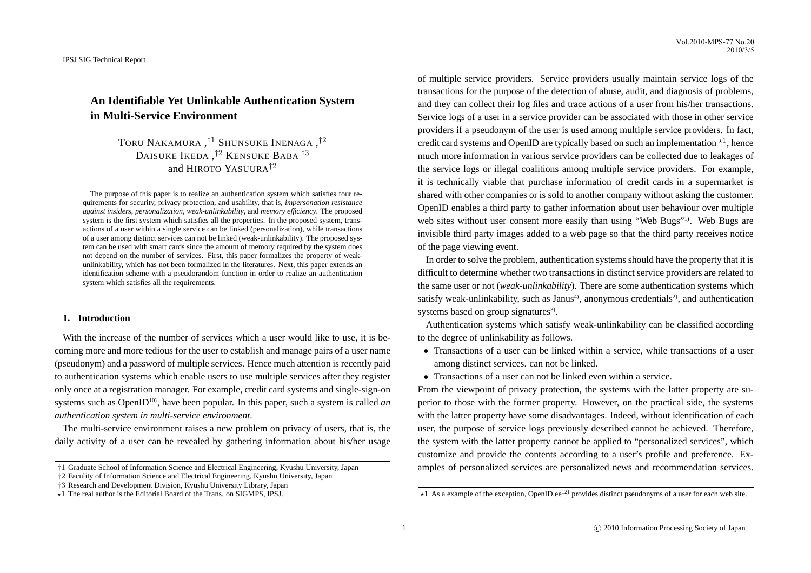# **An Identifiable Yet Unlinkable Authentication System in Multi-Service Environment**

TORU NAKAMURA , †<sup>1</sup> SHUNSUKE INENAGA , †2 DAISUKE IKEDA ,<sup>†2</sup> KENSUKE BABA <sup>†3</sup> and HIROTO YASUUR  $A^{\dagger 2}$ 

The purpose of this paper is to realize an authentication system which satisfies four requirements for security, privacy protection, and usability, that is, *impersonation resistance against insiders*, *personalization*, *weak-unlinkability*, and *memory efficiency*. The proposed system is the first system which satisfies all the properties. In the proposed system, transactions of a user within a single service can be linked (personalization), while transactions of a user among distinct services can not be linked (weak-unlinkability). The proposed system can be used with smart cards since the amount of memory required by the system does not depend on the number of services. First, this paper formalizes the property of weakunlinkability, which has not been formalized in the literatures. Next, this paper extends an identification scheme with a pseudorandom function in order to realize an authentication system which satisfies all the requirements.

# **1. Introduction**

With the increase of the number of services which a user would like to use, it is becoming more and more tedious for the user to establish and manage pairs of a user name (pseudonym) and a password of multiple services. Hence much attention is recently paid to authentication systems which enable users to use multiple services after they register only once at a registration manager. For example, credit card systems and single-sign-on systems such as OpenID<sup>10</sup>, have been popular. In this paper, such a system is called *an authentication system in multi-service environment*.

The multi-service environment raises a new problem on privacy of users, that is, the daily activity of a user can be revealed by gathering information about his/her usage

†2 Faculity of Information Science and Electrical Engineering, Kyushu University, Japan

of multiple service providers. Service providers usually maintain service logs of the transactions for the purpose of the detection of abuse, audit, and diagnosis of problems, and they can collect their log files and trace actions of a user from his/her transactions. Service logs of a user in a service provider can be associated with those in other service providers if a pseudonym of the user is used among multiple service providers. In fact, credit card systems and OpenID are typically based on such an implementation  $*1$ , hence much more information in various service providers can be collected due to leakages of the service logs or illegal coalitions among multiple service providers. For example, it is technically viable that purchase information of credit cards in a supermarket is shared with other companies or is sold to another company without asking the customer. OpenID enables a third party to gather information about user behaviour over multiple web sites without user consent more easily than using "Web Bugs"<sup>1)</sup>. Web Bugs are invisible third party images added to a web page so that the third party receives notice of the page viewing event.

In order to solve the problem, authentication systems should have the property that it is difficult to determine whether two transactions in distinct service providers are related to the same user or not (*weak-unlinkability*). There are some authentication systems which satisfy weak-unlinkability, such as Janus<sup>4</sup>, anonymous credentials<sup>2</sup>, and authentication systems based on group signatures<sup>3)</sup>.

Authentication systems which satisfy weak-unlinkability can be classified according to the degree of unlinkability as follows.

- Transactions of a user can be linked within a service, while transactions of a user among distinct services. can not be linked.
- Transactions of a user can not be linked even within a service.

From the viewpoint of privacy protection, the systems with the latter property are superior to those with the former property. However, on the practical side, the systems with the latter property have some disadvantages. Indeed, without identification of each user, the purpose of service logs previously described cannot be achieved. Therefore, the system with the latter property cannot be applied to "personalized services", which customize and provide the contents according to a user's profile and preference. Examples of personalized services are personalized news and recommendation services.

<sup>†</sup>1 Graduate School of Information Science and Electrical Engineering, Kyushu University, Japan

<sup>†</sup>3 Research and Development Division, Kyushu University Library, Japan

 $\star$ 1 The real author is the Editorial Board of the Trans. on SIGMPS, IPSJ.

 $\star$ 1 As a example of the exception, OpenID.ee<sup>12)</sup> provides distinct pseudonyms of a user for each web site.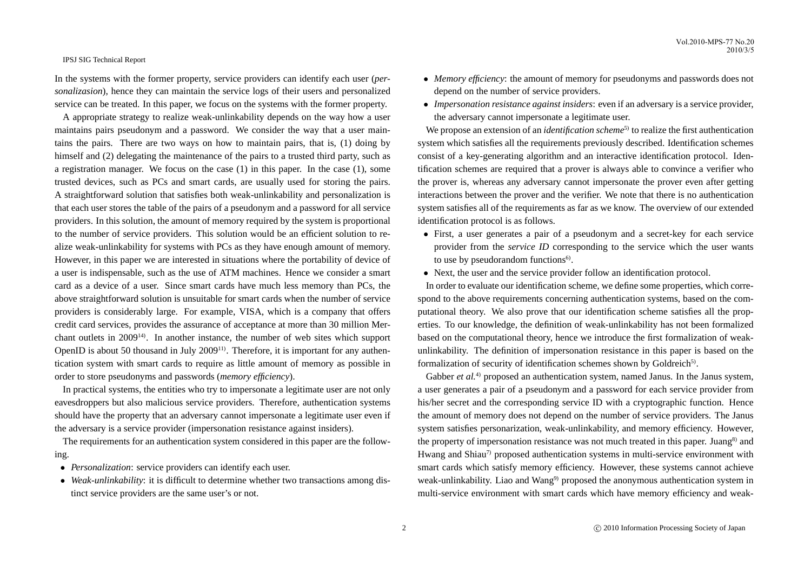In the systems with the former property, service providers can identify each user (*personalizasion*), hence they can maintain the service logs of their users and personalized service can be treated. In this paper, we focus on the systems with the former property.

A appropriate strategy to realize weak-unlinkability depends on the way how a user maintains pairs pseudonym and a password. We consider the way that a user maintains the pairs. There are two ways on how to maintain pairs, that is, (1) doing by himself and (2) delegating the maintenance of the pairs to a trusted third party, such as a registration manager. We focus on the case (1) in this paper. In the case (1), some trusted devices, such as PCs and smart cards, are usually used for storing the pairs. A straightforward solution that satisfies both weak-unlinkability and personalization is that each user stores the table of the pairs of a pseudonym and a password for all service providers. In this solution, the amount of memory required by the system is proportional to the number of service providers. This solution would be an efficient solution to realize weak-unlinkability for systems with PCs as they have enough amount of memory. However, in this paper we are interested in situations where the portability of device of a user is indispensable, such as the use of ATM machines. Hence we consider a smart card as a device of a user. Since smart cards have much less memory than PCs, the above straightforward solution is unsuitable for smart cards when the number of service providers is considerably large. For example, VISA, which is a company that offers credit card services, provides the assurance of acceptance at more than 30 million Merchant outlets in  $2009^{14}$ . In another instance, the number of web sites which support OpenID is about 50 thousand in July 2009<sup>11)</sup>. Therefore, it is important for any authentication system with smart cards to require as little amount of memory as possible in order to store pseudonyms and passwords (*memory efficiency*).

In practical systems, the entities who try to impersonate a legitimate user are not only eavesdroppers but also malicious service providers. Therefore, authentication systems should have the property that an adversary cannot impersonate a legitimate user even if the adversary is a service provider (impersonation resistance against insiders).

The requirements for an authentication system considered in this paper are the following.

- *Personalization*: service providers can identify each user.
- *Weak-unlinkability*: it is difficult to determine whether two transactions among distinct service providers are the same user's or not.
- *Memory efficiency*: the amount of memory for pseudonyms and passwords does not depend on the number of service providers.
- *Impersonation resistance against insiders*: even if an adversary is a service provider, the adversary cannot impersonate a legitimate user.

We propose an extension of an *identification scheme*<sup>5)</sup> to realize the first authentication system which satisfies all the requirements previously described. Identification schemes consist of a key-generating algorithm and an interactive identification protocol. Identification schemes are required that a prover is always able to convince a verifier who the prover is, whereas any adversary cannot impersonate the prover even after getting interactions between the prover and the verifier. We note that there is no authentication system satisfies all of the requirements as far as we know. The overview of our extended identification protocol is as follows.

- First, a user generates a pair of a pseudonym and a secret-key for each service provider from the *service ID* corresponding to the service which the user wants to use by pseudorandom functions<sup>6)</sup>.
- Next, the user and the service provider follow an identification protocol.

In order to evaluate our identification scheme, we define some properties, which correspond to the above requirements concerning authentication systems, based on the computational theory. We also prove that our identification scheme satisfies all the properties. To our knowledge, the definition of weak-unlinkability has not been formalized based on the computational theory, hence we introduce the first formalization of weakunlinkability. The definition of impersonation resistance in this paper is based on the formalization of security of identification schemes shown by Goldreich<sup>5)</sup>.

Gabber *et al.*<sup>4)</sup> proposed an authentication system, named Janus. In the Janus system, a user generates a pair of a pseudonym and a password for each service provider from his/her secret and the corresponding service ID with a cryptographic function. Hence the amount of memory does not depend on the number of service providers. The Janus system satisfies personarization, weak-unlinkability, and memory efficiency. However, the property of impersonation resistance was not much treated in this paper. Juang<sup>8)</sup> and Hwang and Shiau<sup>7</sup> proposed authentication systems in multi-service environment with smart cards which satisfy memory efficiency. However, these systems cannot achieve weak-unlinkability. Liao and Wang<sup>9)</sup> proposed the anonymous authentication system in multi-service environment with smart cards which have memory efficiency and weak-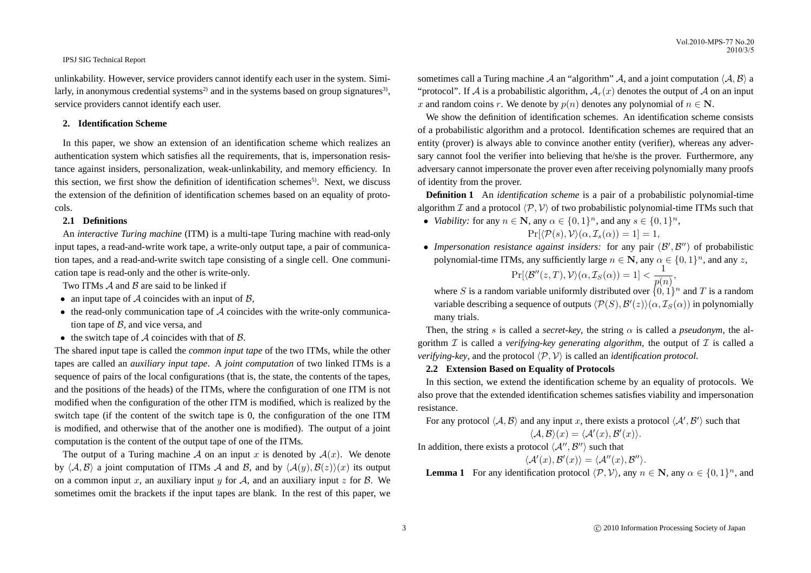unlinkability. However, service providers cannot identify each user in the system. Similarly, in anonymous credential systems<sup>2)</sup> and in the systems based on group signatures<sup>3)</sup>, service providers cannot identify each user.

# **2. Identification Scheme**

In this paper, we show an extension of an identification scheme which realizes an authentication system which satisfies all the requirements, that is, impersonation resistance against insiders, personalization, weak-unlinkability, and memory efficiency. In this section, we first show the definition of identification schemes<sup>5)</sup>. Next, we discuss the extension of the definition of identification schemes based on an equality of protocols.

# **2.1 Definitions**

An *interactive Turing machine* (ITM) is a multi-tape Turing machine with read-only input tapes, a read-and-write work tape, a write-only output tape, a pair of communication tapes, and a read-and-write switch tape consisting of a single cell. One communication tape is read-only and the other is write-only.

Two ITMs  $\mathcal A$  and  $\mathcal B$  are said to be linked if

- an input tape of  $A$  coincides with an input of  $B$ ,
- $\bullet$  the read-only communication tape of  $\mathcal A$  coincides with the write-only communication tape of  $B$ , and vice versa, and
- the switch tape of  $A$  coincides with that of  $B$ .

The shared input tape is called the *common input tape* of the two ITMs, while the other tapes are called an *auxiliary input tape*. A *joint computation* of two linked ITMs is a sequence of pairs of the local configurations (that is, the state, the contents of the tapes, and the positions of the heads) of the ITMs, where the configuration of one ITM is not modified when the configuration of the other ITM is modified, which is realized by the switch tape (if the content of the switch tape is 0, the configuration of the one ITM is modified, and otherwise that of the another one is modified). The output of a joint computation is the content of the output tape of one of the ITMs.

The output of a Turing machine A on an input x is denoted by  $A(x)$ . We denote by  $\langle A, B \rangle$  a joint computation of ITMs A and B, and by  $\langle A(y), B(z) \rangle(x)$  its output on a common input x, an auxiliary input y for A, and an auxiliary input z for B. We sometimes omit the brackets if the input tapes are blank. In the rest of this paper, we

sometimes call a Turing machine A an "algorithm" A, and a joint computation  $\langle A, B \rangle$  a "protocol". If A is a probabilistic algorithm,  $A_r(x)$  denotes the output of A on an input x and random coins r. We denote by  $p(n)$  denotes any polynomial of  $n \in \mathbb{N}$ .

We show the definition of identification schemes. An identification scheme consists of a probabilistic algorithm and a protocol. Identification schemes are required that an entity (prover) is always able to convince another entity (verifier), whereas any adversary cannot fool the verifier into believing that he/she is the prover. Furthermore, any adversary cannot impersonate the prover even after receiving polynomially many proofs of identity from the prover.

**Definition 1** An *identification scheme* is a pair of a probabilistic polynomial-time algorithm I and a protocol  $\langle \mathcal{P}, \mathcal{V} \rangle$  of two probabilistic polynomial-time ITMs such that

• *Viability:* for any  $n \in \mathbb{N}$ , any  $\alpha \in \{0, 1\}^n$ , and any  $s \in \{0, 1\}^n$ ,

$$
Pr[\langle \mathcal{P}(s), \mathcal{V} \rangle(\alpha, \mathcal{I}_s(\alpha)) = 1] = 1,
$$

• Impersonation resistance against insiders: for any pair  $(\mathcal{B}', \mathcal{B}'')$  of probabilistic polynomial-time ITMs, any sufficiently large  $n \in \mathbb{N}$ , any  $\alpha \in \{0, 1\}^n$ , and any z,

 $\Pr[\langle \mathcal{B}''(z,T), \mathcal{V} \rangle(\alpha, \mathcal{I}_S(\alpha)) = 1] < \frac{1}{\alpha}$  $\frac{1}{p(n)},$ 

where S is a random variable uniformly distributed over  $\{0, 1\}^n$  and T is a random variable describing a sequence of outputs  $\langle \mathcal{P}(S), \mathcal{B}'(z) \rangle (\alpha, \mathcal{I}_S(\alpha))$  in polynomially many trials.

Then, the string s is called a *secret-key*, the string  $\alpha$  is called a *pseudonym*, the algorithm  $I$  is called a *verifying-key generating algorithm*, the output of  $I$  is called a *verifying-key*, and the protocol  $\langle P, V \rangle$  is called an *identification protocol*.

#### **2.2 Extension Based on Equality of Protocols**

In this section, we extend the identification scheme by an equality of protocols. We also prove that the extended identification schemes satisfies viability and impersonation resistance.

For any protocol  $\langle A, B \rangle$  and any input x, there exists a protocol  $\langle A, B' \rangle$  such that

$$
\langle A, B \rangle(x) = \langle A'(x), B'(x) \rangle.
$$

In addition, there exists a protocol  $\langle A'', B'' \rangle$  such that

$$
\langle \mathcal{A}'(x),\mathcal{B}'(x)\rangle=\langle \mathcal{A}''(x),\mathcal{B}''\rangle.
$$

**Lemma 1** For any identification protocol  $\langle \mathcal{P}, \mathcal{V} \rangle$ , any  $n \in \mathbb{N}$ , any  $\alpha \in \{0, 1\}^n$ , and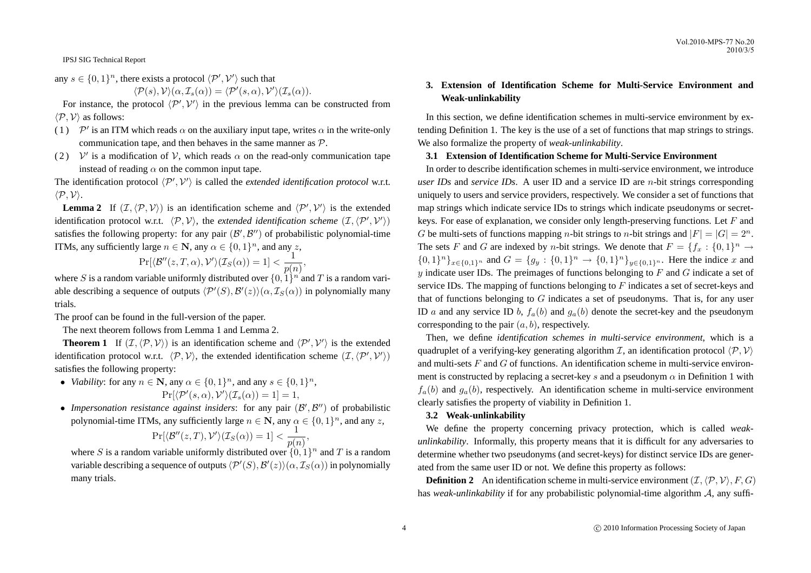any  $s \in \{0,1\}^n$ , there exists a protocol  $\langle \mathcal{P}', \mathcal{V}' \rangle$  such that

$$
\langle \mathcal{P}(s), \mathcal{V} \rangle(\alpha, \mathcal{I}_s(\alpha)) = \langle \mathcal{P}'(s, \alpha), \mathcal{V}' \rangle(\mathcal{I}_s(\alpha)).
$$

For instance, the protocol  $\langle \mathcal{P}', \mathcal{V}' \rangle$  in the previous lemma can be constructed from  $\langle \mathcal{P}, \mathcal{V} \rangle$  as follows:

- (1)  $\mathcal{P}'$  is an ITM which reads  $\alpha$  on the auxiliary input tape, writes  $\alpha$  in the write-only communication tape, and then behaves in the same manner as  $P$ .
- (2)  $V'$  is a modification of V, which reads  $\alpha$  on the read-only communication tape instead of reading  $\alpha$  on the common input tape.

The identification protocol  $\langle \mathcal{P}', \mathcal{V}' \rangle$  is called the *extended identification protocol* w.r.t.  $\langle \mathcal{P}, \mathcal{V} \rangle$ .

**Lemma 2** If  $(\mathcal{I}, \langle \mathcal{P}, \mathcal{V} \rangle)$  is an identification scheme and  $\langle \mathcal{P}', \mathcal{V}' \rangle$  is the extended identification protocol w.r.t.  $\langle \mathcal{P}, \mathcal{V} \rangle$ , the *extended identification scheme*  $(\mathcal{I}, \langle \mathcal{P}', \mathcal{V}' \rangle)$ satisfies the following property: for any pair  $(\mathcal{B}', \mathcal{B}'')$  of probabilistic polynomial-time ITMs, any sufficiently large  $n \in \mathbb{N}$ , any  $\alpha \in \{0, 1\}^n$ , and any z,

$$
\Pr[\langle \mathcal{B}''(z,T,\alpha), \mathcal{V}' \rangle(\mathcal{I}_S(\alpha)) = 1] < \frac{1}{p(n)},
$$

where S is a random variable uniformly distributed over  $\{0, 1\}^{n'}$  and T is a random variable describing a sequence of outputs  $\langle \mathcal{P}'(S), \mathcal{B}'(z) \rangle (\alpha, \mathcal{I}_S(\alpha))$  in polynomially many trials.

The proof can be found in the full-version of the paper.

The next theorem follows from Lemma 1 and Lemma 2.

**Theorem 1** If  $(\mathcal{I}, \langle \mathcal{P}, \mathcal{V} \rangle)$  is an identification scheme and  $\langle \mathcal{P}', \mathcal{V}' \rangle$  is the extended identification protocol w.r.t.  $\langle \mathcal{P}, \mathcal{V} \rangle$ , the extended identification scheme  $(\mathcal{I}, \langle \mathcal{P}', \mathcal{V}' \rangle)$ satisfies the following property:

- *Viability*: for any  $n \in \mathbb{N}$ , any  $\alpha \in \{0, 1\}^n$ , and any  $s \in \{0, 1\}^n$ ,  $Pr[\langle \mathcal{P}'(s, \alpha), \mathcal{V}' \rangle(\mathcal{I}_s(\alpha)) = 1] = 1,$
- Impersonation resistance against insiders: for any pair  $(\mathcal{B}', \mathcal{B}'')$  of probabilistic polynomial-time ITMs, any sufficiently large  $n \in \mathbb{N}$ , any  $\alpha \in \{0, 1\}^n$ , and any z,

$$
\Pr[\langle \mathcal{B}''(z,T), \mathcal{V}' \rangle(\mathcal{I}_S(\alpha)) = 1] < \frac{1}{p(n)},
$$

where S is a random variable uniformly distributed over  $\{0, 1\}^n$  and T is a random variable describing a sequence of outputs  $\langle \mathcal{P}'(S), \mathcal{B}'(z) \rangle (\alpha, \mathcal{I}_S(\alpha))$  in polynomially many trials.

# **3. Extension of Identification Scheme for Multi-Service Environment and Weak-unlinkability**

In this section, we define identification schemes in multi-service environment by extending Definition 1. The key is the use of a set of functions that map strings to strings. We also formalize the property of *weak-unlinkability*.

# **3.1 Extension of Identification Scheme for Multi-Service Environment**

In order to describe identification schemes in multi-service environment, we introduce *user IDs* and *service IDs*. A user ID and a service ID are n-bit strings corresponding uniquely to users and service providers, respectively. We consider a set of functions that map strings which indicate service IDs to strings which indicate pseudonyms or secretkeys. For ease of explanation, we consider only length-preserving functions. Let  $F$  and G be multi-sets of functions mapping *n*-bit strings to *n*-bit strings and  $|F| = |G| = 2^n$ . The sets F and G are indexed by *n*-bit strings. We denote that  $F = \{f_x : \{0,1\}^n \to \mathbb{R}\}$  $\{0,1\}^n\}_{x\in\{0,1\}^n}$  and  $G = \{g_y: \{0,1\}^n \to \{0,1\}^n\}_{y\in\{0,1\}^n}$ . Here the indice x and  $y$  indicate user IDs. The preimages of functions belonging to  $F$  and  $G$  indicate a set of service IDs. The mapping of functions belonging to  $F$  indicates a set of secret-keys and that of functions belonging to  $G$  indicates a set of pseudonyms. That is, for any user ID a and any service ID b,  $f_a(b)$  and  $g_a(b)$  denote the secret-key and the pseudonym corresponding to the pair  $(a, b)$ , respectively.

Then, we define *identification schemes in multi-service environment*, which is a quadruplet of a verifying-key generating algorithm  $\mathcal{I}$ , an identification protocol  $\langle \mathcal{P}, \mathcal{V} \rangle$ and multi-sets  $F$  and  $G$  of functions. An identification scheme in multi-service environment is constructed by replacing a secret-key s and a pseudonym  $\alpha$  in Definition 1 with  $f_a(b)$  and  $g_a(b)$ , respectively. An identification scheme in multi-service environment clearly satisfies the property of viability in Definition 1.

# **3.2 Weak-unlinkability**

We define the property concerning privacy protection, which is called *weakunlinkability*. Informally, this property means that it is difficult for any adversaries to determine whether two pseudonyms (and secret-keys) for distinct service IDs are generated from the same user ID or not. We define this property as follows:

**Definition 2** An identification scheme in multi-service environment  $(\mathcal{I}, \langle \mathcal{P}, \mathcal{V} \rangle, F, G)$ has *weak-unlinkability* if for any probabilistic polynomial-time algorithm A, any suffi-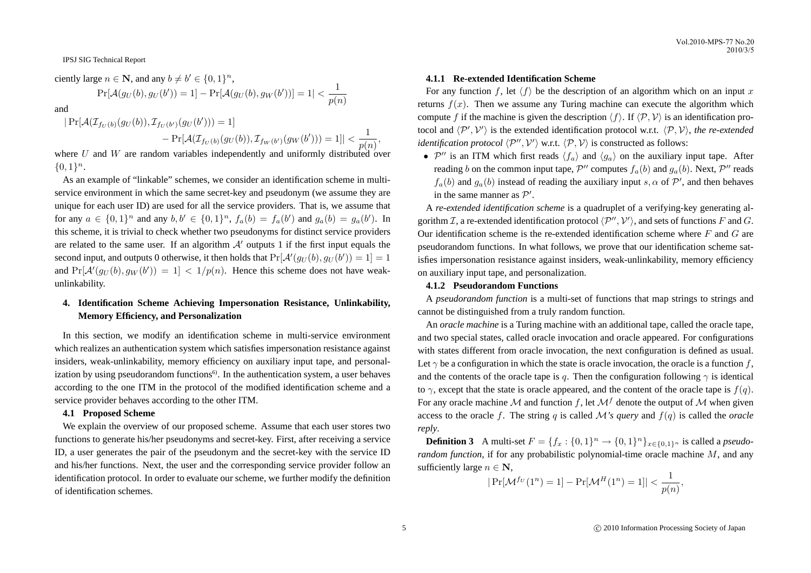ciently large  $n \in \mathbb{N}$ , and any  $b \neq b' \in \{0, 1\}^n$ ,

$$
\Pr[\mathcal{A}(g_U(b), g_U(b')) = 1] - \Pr[\mathcal{A}(g_U(b), g_W(b'))] = 1 | < \frac{1}{p(n)}
$$

and

$$
|\Pr[\mathcal{A}(\mathcal{I}_{f_U(b)}(g_U(b)), \mathcal{I}_{f_U(b')}(g_U(b')))] = 1]
$$
  
- 
$$
|\Pr[\mathcal{A}(\mathcal{I}_{f_U(b)}(g_U(b)), \mathcal{I}_{f_W(b')}(g_W(b')))] = 1]| < \frac{1}{p(n)}
$$

where  $U$  and  $W$  are random variables independently and uniformly distributed over  ${0,1}^n$ .

As an example of "linkable" schemes, we consider an identification scheme in multiservice environment in which the same secret-key and pseudonym (we assume they are unique for each user ID) are used for all the service providers. That is, we assume that for any  $a \in \{0,1\}^n$  and any  $b, b' \in \{0,1\}^n$ ,  $f_a(b) = f_a(b')$  and  $g_a(b) = g_a(b')$ . In this scheme, it is trivial to check whether two pseudonyms for distinct service providers are related to the same user. If an algorithm  $A'$  outputs 1 if the first input equals the second input, and outputs 0 otherwise, it then holds that  $Pr[\mathcal{A}'(g_U(b), g_U(b')) = 1] = 1$ and  $Pr[\mathcal{A}'(g_U(b), g_W(b')) = 1] < 1/p(n)$ . Hence this scheme does not have weakunlinkability.

# **4. Identification Scheme Achieving Impersonation Resistance, Unlinkability, Memory Efficiency, and Personalization**

In this section, we modify an identification scheme in multi-service environment which realizes an authentication system which satisfies impersonation resistance against insiders, weak-unlinkability, memory efficiency on auxiliary input tape, and personalization by using pseudorandom functions $\epsilon^{6}$ . In the authentication system, a user behaves according to the one ITM in the protocol of the modified identification scheme and a service provider behaves according to the other ITM.

#### **4.1 Proposed Scheme**

We explain the overview of our proposed scheme. Assume that each user stores two functions to generate his/her pseudonyms and secret-key. First, after receiving a service ID, a user generates the pair of the pseudonym and the secret-key with the service ID and his/her functions. Next, the user and the corresponding service provider follow an identification protocol. In order to evaluate our scheme, we further modify the definition of identification schemes.

# **4.1.1 Re-extended Identification Scheme**

For any function f, let  $\langle f \rangle$  be the description of an algorithm which on an input x returns  $f(x)$ . Then we assume any Turing machine can execute the algorithm which compute f if the machine is given the description  $\langle f \rangle$ . If  $\langle \mathcal{P}, \mathcal{V} \rangle$  is an identification protocol and  $\langle P', V' \rangle$  is the extended identification protocol w.r.t.  $\langle P, V \rangle$ , *the re-extended identification protocol*  $\langle \mathcal{P}'', \mathcal{V}' \rangle$  w.r.t.  $\langle \mathcal{P}, \mathcal{V} \rangle$  is constructed as follows:

•  $\mathcal{P}''$  is an ITM which first reads  $\langle f_a \rangle$  and  $\langle g_a \rangle$  on the auxiliary input tape. After reading b on the common input tape,  $\mathcal{P}''$  computes  $f_a(b)$  and  $g_a(b)$ . Next,  $\mathcal{P}''$  reads  $f_a(b)$  and  $g_a(b)$  instead of reading the auxiliary input s,  $\alpha$  of  $\mathcal{P}'$ , and then behaves in the same manner as  $P'$ .

A *re-extended identification scheme* is a quadruplet of a verifying-key generating algorithm  $\mathcal{I}$ , a re-extended identification protocol  $\langle \mathcal{P}'' , \mathcal{V}' \rangle$ , and sets of functions  $F$  and  $G$ . Our identification scheme is the re-extended identification scheme where  $F$  and  $G$  are pseudorandom functions. In what follows, we prove that our identification scheme satisfies impersonation resistance against insiders, weak-unlinkability, memory efficiency on auxiliary input tape, and personalization.

#### **4.1.2 Pseudorandom Functions**

A *pseudorandom function* is a multi-set of functions that map strings to strings and cannot be distinguished from a truly random function.

An *oracle machine* is a Turing machine with an additional tape, called the oracle tape, and two special states, called oracle invocation and oracle appeared. For configurations with states different from oracle invocation, the next configuration is defined as usual. Let  $\gamma$  be a configuration in which the state is oracle invocation, the oracle is a function f, and the contents of the oracle tape is q. Then the configuration following  $\gamma$  is identical to  $\gamma$ , except that the state is oracle appeared, and the content of the oracle tape is  $f(q)$ . For any oracle machine M and function f, let  $\mathcal{M}^f$  denote the output of M when given access to the oracle f. The string q is called  $\mathcal{M}'s$  query and  $f(q)$  is called the *oracle reply*.

**Definition 3** A multi-set  $F = \{f_x : \{0, 1\}^n \to \{0, 1\}^n\}_{x \in \{0, 1\}^n}$  is called a *pseudorandom function*, if for any probabilistic polynomial-time oracle machine M, and any sufficiently large  $n \in \mathbb{N}$ ,

$$
|\Pr[\mathcal{M}^{fv}(1^n) = 1] - \Pr[\mathcal{M}^H(1^n) = 1]| < \frac{1}{p(n)},
$$

,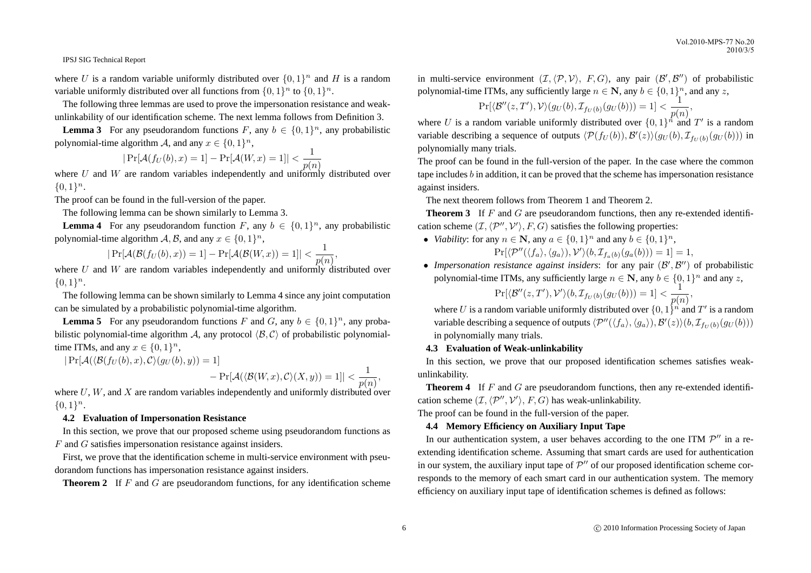where U is a random variable uniformly distributed over  $\{0,1\}^n$  and H is a random variable uniformly distributed over all functions from  $\{0, 1\}^n$  to  $\{0, 1\}^n$ .

The following three lemmas are used to prove the impersonation resistance and weakunlinkability of our identification scheme. The next lemma follows from Definition 3.

**Lemma 3** For any pseudorandom functions F, any  $b \in \{0, 1\}^n$ , any probabilistic polynomial-time algorithm A, and any  $x \in \{0,1\}^n$ ,

$$
|\Pr[\mathcal{A}(f_U(b), x) = 1] - \Pr[\mathcal{A}(W, x) = 1]| < \frac{1}{p(n)}
$$

where U and W are random variables independently and uniformly distributed over  ${0,1}<sup>n</sup>$ .

The proof can be found in the full-version of the paper.

The following lemma can be shown similarly to Lemma 3.

**Lemma 4** For any pseudorandom function F, any  $b \in \{0, 1\}^n$ , any probabilistic polynomial-time algorithm  $A, B$ , and any  $x \in \{0, 1\}^n$ ,

$$
|\Pr[\mathcal{A}(\mathcal{B}(f_U(b),x)) = 1] - \Pr[\mathcal{A}(\mathcal{B}(W,x)) = 1]| < \frac{1}{p(n)},
$$

where U and W are random variables independently and uniformly distributed over  ${0,1}^n$ .

The following lemma can be shown similarly to Lemma 4 since any joint computation can be simulated by a probabilistic polynomial-time algorithm.

**Lemma 5** For any pseudorandom functions F and G, any  $b \in \{0, 1\}^n$ , any probabilistic polynomial-time algorithm A, any protocol  $\langle B, C \rangle$  of probabilistic polynomialtime ITMs, and any  $x \in \{0, 1\}^n$ ,

 $|\Pr[\mathcal{A}(\langle \mathcal{B}(f_U (b), x), \mathcal{C} \rangle(g_U (b), y)) = 1]$ 

 $-\Pr[\mathcal{A}(\langle \mathcal{B}(W,x), \mathcal{C} \rangle(X, y)) = 1] < \frac{1}{\sqrt{2}}$  $\frac{1}{p(n)},$ 

where  $U, W$ , and  $X$  are random variables independently and uniformly distributed over  ${0,1}^n$ .

#### **4.2 Evaluation of Impersonation Resistance**

In this section, we prove that our proposed scheme using pseudorandom functions as F and G satisfies impersonation resistance against insiders.

First, we prove that the identification scheme in multi-service environment with pseudorandom functions has impersonation resistance against insiders.

**Theorem 2** If F and G are pseudorandom functions, for any identification scheme

in multi-service environment  $(\mathcal{I}, \langle \mathcal{P}, \mathcal{V} \rangle, F, G)$ , any pair  $(\mathcal{B}', \mathcal{B}'')$  of probabilistic polynomial-time ITMs, any sufficiently large  $n \in \mathbb{N}$ , any  $b \in \{0, 1\}^n$ , and any z,

 $\Pr[\langle \mathcal{B}''(z, T'), \mathcal{V} \rangle(g_U(b), \mathcal{I}_{fv(b)}(g_U(b))) = 1] < \frac{1}{\gamma(s)}$  $\frac{1}{p(n)},$ 

where U is a random variable uniformly distributed over  $\{0,1\}^{\hat{n}}$  and T' is a random variable describing a sequence of outputs  $\langle \mathcal{P}(f_U(b)), \mathcal{B}'(z) \rangle (g_U(b), \mathcal{I}_{f_U(b)}(g_U(b)))$  in polynomially many trials.

The proof can be found in the full-version of the paper. In the case where the common tape includes  $b$  in addition, it can be proved that the scheme has impersonation resistance against insiders.

The next theorem follows from Theorem 1 and Theorem 2.

**Theorem 3** If F and G are pseudorandom functions, then any re-extended identification scheme  $(\mathcal{I}, \langle \mathcal{P}'', \mathcal{V}' \rangle, F, G)$  satisfies the following properties:

- *Viability*: for any  $n \in \mathbb{N}$ , any  $a \in \{0, 1\}^n$  and any  $b \in \{0, 1\}^n$ ,  $\Pr[\langle \mathcal{P}''(\langle f_a \rangle, \langle g_a \rangle), \mathcal{V}' \rangle (b, \mathcal{I}_{f_a(b)}(g_a(b))) = 1] = 1,$
- Impersonation resistance against insiders: for any pair  $(\mathcal{B}', \mathcal{B}'')$  of probabilistic polynomial-time ITMs, any sufficiently large  $n \in \mathbb{N}$ , any  $b \in \{0, 1\}^n$  and any z,

 $\Pr[\langle \mathcal{B}''(z, T'), \mathcal{V}' \rangle (b, \mathcal{I}_{f_U(b)}(g_U(b))) = 1] < \frac{1}{\gamma(s)}$  $\frac{1}{p(n)},$ 

where U is a random variable uniformly distributed over  $\{0,1\}^n$  and T' is a random variable describing a sequence of outputs  $\langle \mathcal{P}''(\langle f_a \rangle, \langle g_a \rangle), \mathcal{B}'(z) \rangle (b, \mathcal{I}_{f_U(b)}(g_U(b)))$ in polynomially many trials.

# **4.3 Evaluation of Weak-unlinkability**

In this section, we prove that our proposed identification schemes satisfies weakunlinkability.

**Theorem 4** If F and G are pseudorandom functions, then any re-extended identification scheme  $(\mathcal{I}, \langle \mathcal{P}'', \mathcal{V}' \rangle, F, G)$  has weak-unlinkability.

The proof can be found in the full-version of the paper.

# **4.4 Memory Efficiency on Auxiliary Input Tape**

In our authentication system, a user behaves according to the one ITM  $\mathcal{P}''$  in a reextending identification scheme. Assuming that smart cards are used for authentication in our system, the auxiliary input tape of  $\mathcal{P}''$  of our proposed identification scheme corresponds to the memory of each smart card in our authentication system. The memory efficiency on auxiliary input tape of identification schemes is defined as follows: